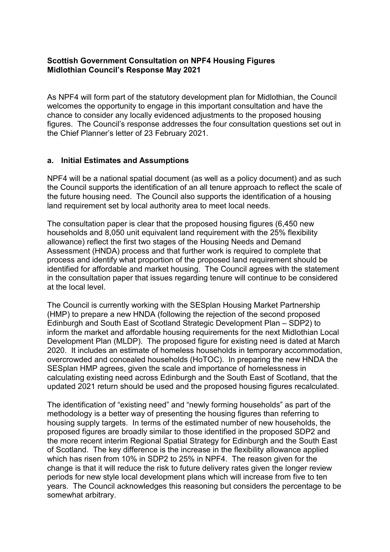### **Scottish Government Consultation on NPF4 Housing Figures Midlothian Council's Response May 2021**

As NPF4 will form part of the statutory development plan for Midlothian, the Council welcomes the opportunity to engage in this important consultation and have the chance to consider any locally evidenced adjustments to the proposed housing figures. The Council's response addresses the four consultation questions set out in the Chief Planner's letter of 23 February 2021.

#### **a. Initial Estimates and Assumptions**

NPF4 will be a national spatial document (as well as a policy document) and as such the Council supports the identification of an all tenure approach to reflect the scale of the future housing need. The Council also supports the identification of a housing land requirement set by local authority area to meet local needs.

The consultation paper is clear that the proposed housing figures (6,450 new households and 8,050 unit equivalent land requirement with the 25% flexibility allowance) reflect the first two stages of the Housing Needs and Demand Assessment (HNDA) process and that further work is required to complete that process and identify what proportion of the proposed land requirement should be identified for affordable and market housing. The Council agrees with the statement in the consultation paper that issues regarding tenure will continue to be considered at the local level.

The Council is currently working with the SESplan Housing Market Partnership (HMP) to prepare a new HNDA (following the rejection of the second proposed Edinburgh and South East of Scotland Strategic Development Plan – SDP2) to inform the market and affordable housing requirements for the next Midlothian Local Development Plan (MLDP). The proposed figure for existing need is dated at March 2020. It includes an estimate of homeless households in temporary accommodation, overcrowded and concealed households (HoTOC). In preparing the new HNDA the SESplan HMP agrees, given the scale and importance of homelessness in calculating existing need across Edinburgh and the South East of Scotland, that the updated 2021 return should be used and the proposed housing figures recalculated.

The identification of "existing need" and "newly forming households" as part of the methodology is a better way of presenting the housing figures than referring to housing supply targets. In terms of the estimated number of new households, the proposed figures are broadly similar to those identified in the proposed SDP2 and the more recent interim Regional Spatial Strategy for Edinburgh and the South East of Scotland. The key difference is the increase in the flexibility allowance applied which has risen from 10% in SDP2 to 25% in NPF4. The reason given for the change is that it will reduce the risk to future delivery rates given the longer review periods for new style local development plans which will increase from five to ten years. The Council acknowledges this reasoning but considers the percentage to be somewhat arbitrary.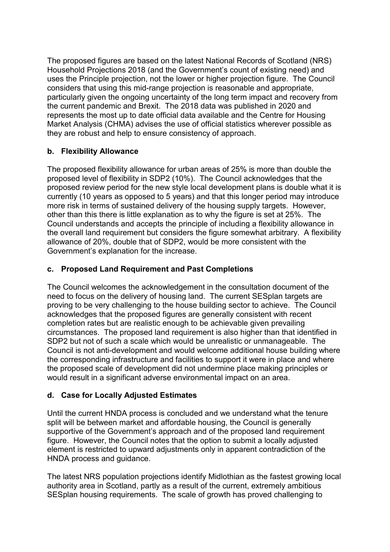The proposed figures are based on the latest National Records of Scotland (NRS) Household Projections 2018 (and the Government's count of existing need) and uses the Principle projection, not the lower or higher projection figure. The Council considers that using this mid-range projection is reasonable and appropriate, particularly given the ongoing uncertainty of the long term impact and recovery from the current pandemic and Brexit. The 2018 data was published in 2020 and represents the most up to date official data available and the Centre for Housing Market Analysis (CHMA) advises the use of official statistics wherever possible as they are robust and help to ensure consistency of approach.

# **b. Flexibility Allowance**

The proposed flexibility allowance for urban areas of 25% is more than double the proposed level of flexibility in SDP2 (10%). The Council acknowledges that the proposed review period for the new style local development plans is double what it is currently (10 years as opposed to 5 years) and that this longer period may introduce more risk in terms of sustained delivery of the housing supply targets. However, other than this there is little explanation as to why the figure is set at 25%. The Council understands and accepts the principle of including a flexibility allowance in the overall land requirement but considers the figure somewhat arbitrary. A flexibility allowance of 20%, double that of SDP2, would be more consistent with the Government's explanation for the increase.

### **c. Proposed Land Requirement and Past Completions**

The Council welcomes the acknowledgement in the consultation document of the need to focus on the delivery of housing land. The current SESplan targets are proving to be very challenging to the house building sector to achieve. The Council acknowledges that the proposed figures are generally consistent with recent completion rates but are realistic enough to be achievable given prevailing circumstances. The proposed land requirement is also higher than that identified in SDP2 but not of such a scale which would be unrealistic or unmanageable. The Council is not anti-development and would welcome additional house building where the corresponding infrastructure and facilities to support it were in place and where the proposed scale of development did not undermine place making principles or would result in a significant adverse environmental impact on an area.

# **d. Case for Locally Adjusted Estimates**

Until the current HNDA process is concluded and we understand what the tenure split will be between market and affordable housing, the Council is generally supportive of the Government's approach and of the proposed land requirement figure. However, the Council notes that the option to submit a locally adjusted element is restricted to upward adjustments only in apparent contradiction of the HNDA process and guidance.

The latest NRS population projections identify Midlothian as the fastest growing local authority area in Scotland, partly as a result of the current, extremely ambitious SESplan housing requirements. The scale of growth has proved challenging to